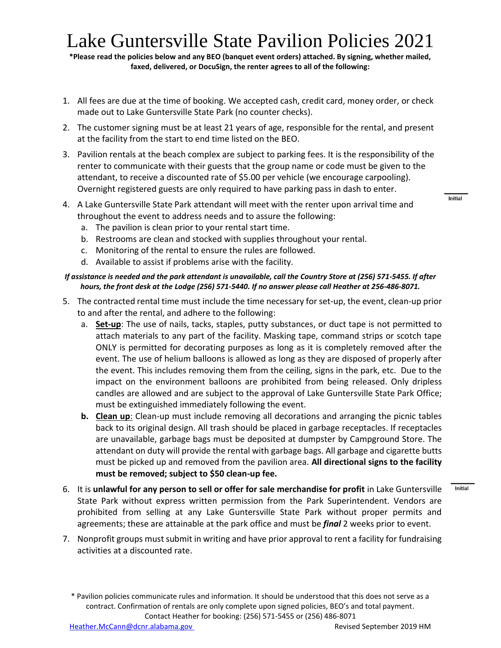## Lake Guntersville State Pavilion Policies 2021

**\*Please read the policies below and any BEO (banquet event orders) attached. By signing, whether mailed, faxed, delivered, or DocuSign, the renter agrees to all of the following:**

- 1. All fees are due at the time of booking. We accepted cash, credit card, money order, or check made out to Lake Guntersville State Park (no counter checks).
- 2. The customer signing must be at least 21 years of age, responsible for the rental, and present at the facility from the start to end time listed on the BEO.
- 3. Pavilion rentals at the beach complex are subject to parking fees. It is the responsibility of the renter to communicate with their guests that the group name or code must be given to the attendant, to receive a discounted rate of \$5.00 per vehicle (we encourage carpooling). Overnight registered guests are only required to have parking pass in dash to enter.
- 4. A Lake Guntersville State Park attendant will meet with the renter upon arrival time and throughout the event to address needs and to assure the following:
	- a. The pavilion is clean prior to your rental start time.
	- b. Restrooms are clean and stocked with supplies throughout your rental.
	- c. Monitoring of the rental to ensure the rules are followed.
	- d. Available to assist if problems arise with the facility.

## *If assistance is needed and the park attendant is unavailable, call the Country Store at (256) 571-5455. If after hours, the front desk at the Lodge (256) 571-5440. If no answer please call Heather at 256-486-8071.*

- 5. The contracted rental time must include the time necessary for set-up, the event, clean-up prior to and after the rental, and adhere to the following:
	- a. **Set-up**: The use of nails, tacks, staples, putty substances, or duct tape is not permitted to attach materials to any part of the facility. Masking tape, command strips or scotch tape ONLY is permitted for decorating purposes as long as it is completely removed after the event. The use of helium balloons is allowed as long as they are disposed of properly after the event. This includes removing them from the ceiling, signs in the park, etc. Due to the impact on the environment balloons are prohibited from being released. Only dripless candles are allowed and are subject to the approval of Lake Guntersville State Park Office; must be extinguished immediately following the event.
	- **b. Clean up**: Clean-up must include removing all decorations and arranging the picnic tables back to its original design. All trash should be placed in garbage receptacles. If receptacles are unavailable, garbage bags must be deposited at dumpster by Campground Store. The attendant on duty will provide the rental with garbage bags. All garbage and cigarette butts must be picked up and removed from the pavilion area. **All directional signs to the facility must be removed; subject to \$50 clean-up fee.**
- 6. It is **unlawful for any person to sell or offer for sale merchandise for profit** in Lake Guntersville State Park without express written permission from the Park Superintendent. Vendors are prohibited from selling at any Lake Guntersville State Park without proper permits and agreements; these are attainable at the park office and must be *final* 2 weeks prior to event.
- 7. Nonprofit groups must submit in writing and have prior approval to rent a facility for fundraising activities at a discounted rate.

**Initial** 

Initial

<sup>\*</sup> Pavilion policies communicate rules and information. It should be understood that this does not serve as a contract. Confirmation of rentals are only complete upon signed policies, BEO's and total payment. Contact Heather for booking: (256) 571-5455 or (256) 486-8071